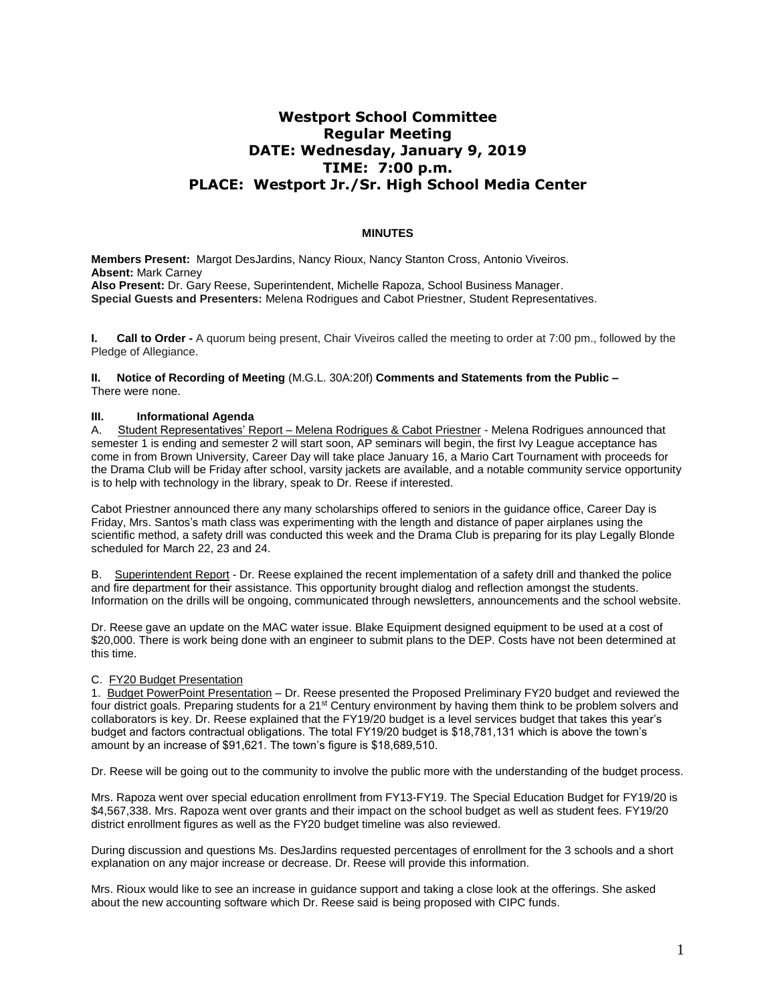# **Westport School Committee Regular Meeting DATE: Wednesday, January 9, 2019 TIME: 7:00 p.m. PLACE: Westport Jr./Sr. High School Media Center**

## **MINUTES**

**Members Present:** Margot DesJardins, Nancy Rioux, Nancy Stanton Cross, Antonio Viveiros. **Absent:** Mark Carney **Also Present:** Dr. Gary Reese, Superintendent, Michelle Rapoza, School Business Manager. **Special Guests and Presenters:** Melena Rodrigues and Cabot Priestner, Student Representatives.

**I. Call to Order -** A quorum being present, Chair Viveiros called the meeting to order at 7:00 pm., followed by the Pledge of Allegiance.

**II. Notice of Recording of Meeting** (M.G.L. 30A:20f) **Comments and Statements from the Public –** There were none.

## **III. Informational Agenda**

A. Student Representatives' Report – Melena Rodrigues & Cabot Priestner - Melena Rodrigues announced that semester 1 is ending and semester 2 will start soon, AP seminars will begin, the first Ivy League acceptance has come in from Brown University, Career Day will take place January 16, a Mario Cart Tournament with proceeds for the Drama Club will be Friday after school, varsity jackets are available, and a notable community service opportunity is to help with technology in the library, speak to Dr. Reese if interested.

Cabot Priestner announced there any many scholarships offered to seniors in the guidance office, Career Day is Friday, Mrs. Santos's math class was experimenting with the length and distance of paper airplanes using the scientific method, a safety drill was conducted this week and the Drama Club is preparing for its play Legally Blonde scheduled for March 22, 23 and 24.

B. Superintendent Report - Dr. Reese explained the recent implementation of a safety drill and thanked the police and fire department for their assistance. This opportunity brought dialog and reflection amongst the students. Information on the drills will be ongoing, communicated through newsletters, announcements and the school website.

Dr. Reese gave an update on the MAC water issue. Blake Equipment designed equipment to be used at a cost of \$20,000. There is work being done with an engineer to submit plans to the DEP. Costs have not been determined at this time.

#### C. FY20 Budget Presentation

1. Budget PowerPoint Presentation – Dr. Reese presented the Proposed Preliminary FY20 budget and reviewed the four district goals. Preparing students for a 21st Century environment by having them think to be problem solvers and collaborators is key. Dr. Reese explained that the FY19/20 budget is a level services budget that takes this year's budget and factors contractual obligations. The total FY19/20 budget is \$18,781,131 which is above the town's amount by an increase of \$91,621. The town's figure is \$18,689,510.

Dr. Reese will be going out to the community to involve the public more with the understanding of the budget process.

Mrs. Rapoza went over special education enrollment from FY13-FY19. The Special Education Budget for FY19/20 is \$4,567,338. Mrs. Rapoza went over grants and their impact on the school budget as well as student fees. FY19/20 district enrollment figures as well as the FY20 budget timeline was also reviewed.

During discussion and questions Ms. DesJardins requested percentages of enrollment for the 3 schools and a short explanation on any major increase or decrease. Dr. Reese will provide this information.

Mrs. Rioux would like to see an increase in guidance support and taking a close look at the offerings. She asked about the new accounting software which Dr. Reese said is being proposed with CIPC funds.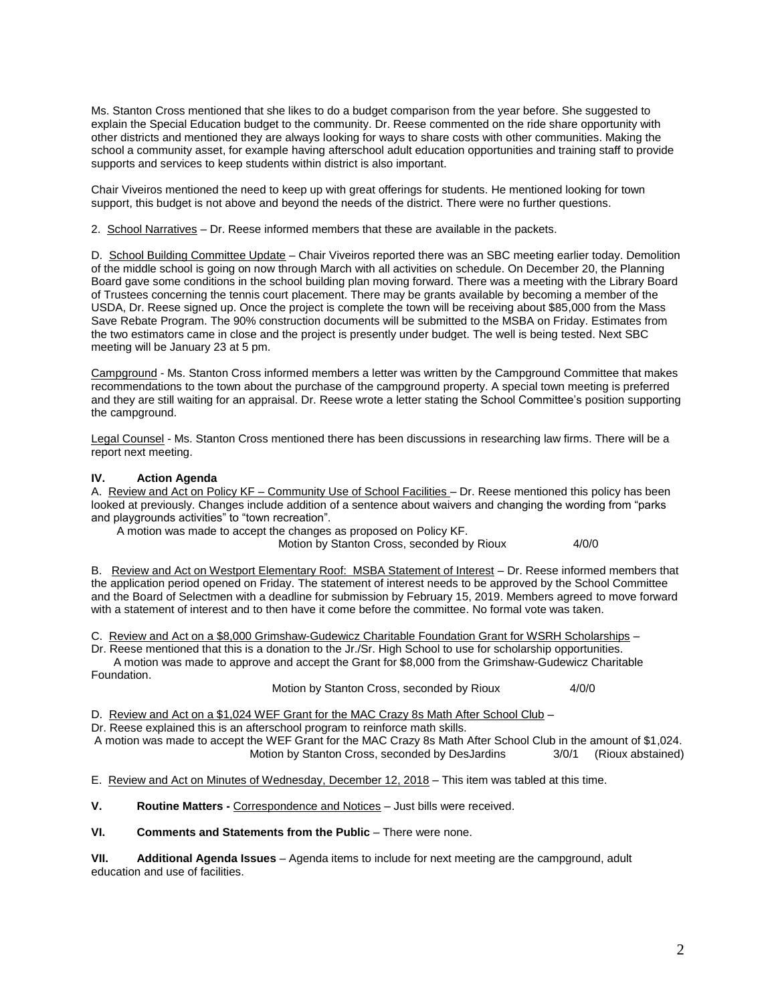Ms. Stanton Cross mentioned that she likes to do a budget comparison from the year before. She suggested to explain the Special Education budget to the community. Dr. Reese commented on the ride share opportunity with other districts and mentioned they are always looking for ways to share costs with other communities. Making the school a community asset, for example having afterschool adult education opportunities and training staff to provide supports and services to keep students within district is also important.

Chair Viveiros mentioned the need to keep up with great offerings for students. He mentioned looking for town support, this budget is not above and beyond the needs of the district. There were no further questions.

2. School Narratives – Dr. Reese informed members that these are available in the packets.

D. School Building Committee Update – Chair Viveiros reported there was an SBC meeting earlier today. Demolition of the middle school is going on now through March with all activities on schedule. On December 20, the Planning Board gave some conditions in the school building plan moving forward. There was a meeting with the Library Board of Trustees concerning the tennis court placement. There may be grants available by becoming a member of the USDA, Dr. Reese signed up. Once the project is complete the town will be receiving about \$85,000 from the Mass Save Rebate Program. The 90% construction documents will be submitted to the MSBA on Friday. Estimates from the two estimators came in close and the project is presently under budget. The well is being tested. Next SBC meeting will be January 23 at 5 pm.

Campground - Ms. Stanton Cross informed members a letter was written by the Campground Committee that makes recommendations to the town about the purchase of the campground property. A special town meeting is preferred and they are still waiting for an appraisal. Dr. Reese wrote a letter stating the School Committee's position supporting the campground.

Legal Counsel - Ms. Stanton Cross mentioned there has been discussions in researching law firms. There will be a report next meeting.

## **IV. Action Agenda**

Foundation.

A. Review and Act on Policy KF – Community Use of School Facilities – Dr. Reese mentioned this policy has been looked at previously. Changes include addition of a sentence about waivers and changing the wording from "parks and playgrounds activities" to "town recreation".

A motion was made to accept the changes as proposed on Policy KF.

Motion by Stanton Cross, seconded by Rioux 4/0/0

B. Review and Act on Westport Elementary Roof: MSBA Statement of Interest – Dr. Reese informed members that the application period opened on Friday. The statement of interest needs to be approved by the School Committee and the Board of Selectmen with a deadline for submission by February 15, 2019. Members agreed to move forward with a statement of interest and to then have it come before the committee. No formal vote was taken.

C. Review and Act on a \$8,000 Grimshaw-Gudewicz Charitable Foundation Grant for WSRH Scholarships –

Dr. Reese mentioned that this is a donation to the Jr./Sr. High School to use for scholarship opportunities. A motion was made to approve and accept the Grant for \$8,000 from the Grimshaw-Gudewicz Charitable

Motion by Stanton Cross, seconded by Rioux 4/0/0

D. Review and Act on a \$1,024 WEF Grant for the MAC Crazy 8s Math After School Club –

Dr. Reese explained this is an afterschool program to reinforce math skills.

A motion was made to accept the WEF Grant for the MAC Crazy 8s Math After School Club in the amount of \$1,024. Motion by Stanton Cross, seconded by DesJardins 3/0/1 (Rioux abstained)

E. Review and Act on Minutes of Wednesday, December 12, 2018 – This item was tabled at this time.

**V. Routine Matters -** Correspondence and Notices – Just bills were received.

# **VI. Comments and Statements from the Public** – There were none.

**VII. Additional Agenda Issues** – Agenda items to include for next meeting are the campground, adult education and use of facilities.